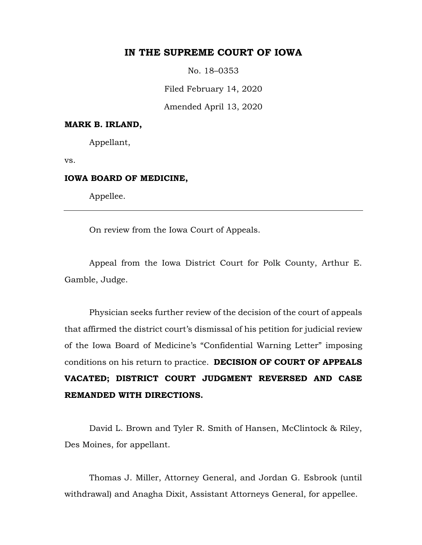## **IN THE SUPREME COURT OF IOWA**

No. 18–0353

Filed February 14, 2020

Amended April 13, 2020

#### **MARK B. IRLAND,**

Appellant,

vs.

## **IOWA BOARD OF MEDICINE,**

Appellee.

On review from the Iowa Court of Appeals.

Appeal from the Iowa District Court for Polk County, Arthur E. Gamble, Judge.

Physician seeks further review of the decision of the court of appeals that affirmed the district court's dismissal of his petition for judicial review of the Iowa Board of Medicine's "Confidential Warning Letter" imposing conditions on his return to practice. **DECISION OF COURT OF APPEALS VACATED; DISTRICT COURT JUDGMENT REVERSED AND CASE REMANDED WITH DIRECTIONS.** 

David L. Brown and Tyler R. Smith of Hansen, McClintock & Riley, Des Moines, for appellant.

Thomas J. Miller, Attorney General, and Jordan G. Esbrook (until withdrawal) and Anagha Dixit, Assistant Attorneys General, for appellee.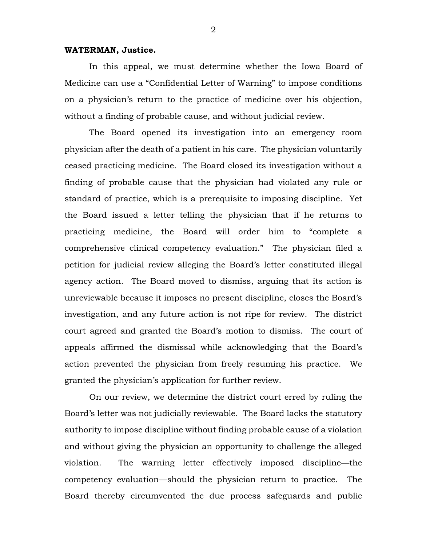## **WATERMAN, Justice.**

In this appeal, we must determine whether the Iowa Board of Medicine can use a "Confidential Letter of Warning" to impose conditions on a physician's return to the practice of medicine over his objection, without a finding of probable cause, and without judicial review.

The Board opened its investigation into an emergency room physician after the death of a patient in his care. The physician voluntarily ceased practicing medicine. The Board closed its investigation without a finding of probable cause that the physician had violated any rule or standard of practice, which is a prerequisite to imposing discipline. Yet the Board issued a letter telling the physician that if he returns to practicing medicine, the Board will order him to "complete a comprehensive clinical competency evaluation." The physician filed a petition for judicial review alleging the Board's letter constituted illegal agency action. The Board moved to dismiss, arguing that its action is unreviewable because it imposes no present discipline, closes the Board's investigation, and any future action is not ripe for review. The district court agreed and granted the Board's motion to dismiss. The court of appeals affirmed the dismissal while acknowledging that the Board's action prevented the physician from freely resuming his practice. We granted the physician's application for further review.

On our review, we determine the district court erred by ruling the Board's letter was not judicially reviewable. The Board lacks the statutory authority to impose discipline without finding probable cause of a violation and without giving the physician an opportunity to challenge the alleged violation. The warning letter effectively imposed discipline—the competency evaluation—should the physician return to practice. The Board thereby circumvented the due process safeguards and public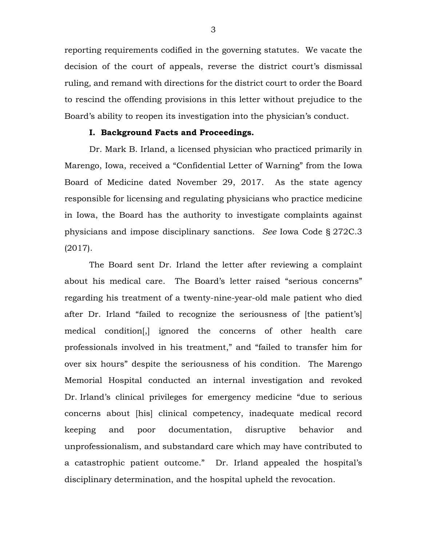reporting requirements codified in the governing statutes. We vacate the decision of the court of appeals, reverse the district court's dismissal ruling, and remand with directions for the district court to order the Board to rescind the offending provisions in this letter without prejudice to the Board's ability to reopen its investigation into the physician's conduct.

## **I. Background Facts and Proceedings.**

Dr. Mark B. Irland, a licensed physician who practiced primarily in Marengo, Iowa, received a "Confidential Letter of Warning" from the Iowa Board of Medicine dated November 29, 2017. As the state agency responsible for licensing and regulating physicians who practice medicine in Iowa, the Board has the authority to investigate complaints against physicians and impose disciplinary sanctions. *See* Iowa Code § 272C.3 (2017).

The Board sent Dr. Irland the letter after reviewing a complaint about his medical care. The Board's letter raised "serious concerns" regarding his treatment of a twenty-nine-year-old male patient who died after Dr. Irland "failed to recognize the seriousness of [the patient's] medical condition[,] ignored the concerns of other health care professionals involved in his treatment," and "failed to transfer him for over six hours" despite the seriousness of his condition. The Marengo Memorial Hospital conducted an internal investigation and revoked Dr. Irland's clinical privileges for emergency medicine "due to serious concerns about [his] clinical competency, inadequate medical record keeping and poor documentation, disruptive behavior and unprofessionalism, and substandard care which may have contributed to a catastrophic patient outcome." Dr. Irland appealed the hospital's disciplinary determination, and the hospital upheld the revocation.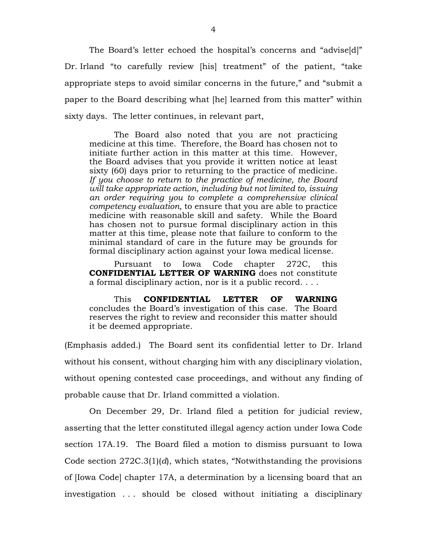The Board's letter echoed the hospital's concerns and "advise[d]" Dr. Irland "to carefully review [his] treatment" of the patient, "take appropriate steps to avoid similar concerns in the future," and "submit a paper to the Board describing what [he] learned from this matter" within sixty days. The letter continues, in relevant part,

The Board also noted that you are not practicing medicine at this time. Therefore, the Board has chosen not to initiate further action in this matter at this time. However, the Board advises that you provide it written notice at least sixty (60) days prior to returning to the practice of medicine. *If you choose to return to the practice of medicine, the Board will take appropriate action, including but not limited to, issuing an order requiring you to complete a comprehensive clinical competency evaluation,* to ensure that you are able to practice medicine with reasonable skill and safety. While the Board has chosen not to pursue formal disciplinary action in this matter at this time, please note that failure to conform to the minimal standard of care in the future may be grounds for formal disciplinary action against your Iowa medical license.

Pursuant to Iowa Code chapter 272C, this **CONFIDENTIAL LETTER OF WARNING** does not constitute a formal disciplinary action, nor is it a public record. . . .

This **CONFIDENTIAL LETTER OF WARNING** concludes the Board's investigation of this case. The Board reserves the right to review and reconsider this matter should it be deemed appropriate.

(Emphasis added.) The Board sent its confidential letter to Dr. Irland without his consent, without charging him with any disciplinary violation, without opening contested case proceedings, and without any finding of probable cause that Dr. Irland committed a violation.

On December 29, Dr. Irland filed a petition for judicial review, asserting that the letter constituted illegal agency action under Iowa Code section 17A.19. The Board filed a motion to dismiss pursuant to Iowa Code section 272C.3(1)(*d*), which states, "Notwithstanding the provisions of [Iowa Code] chapter 17A, a determination by a licensing board that an investigation . . . should be closed without initiating a disciplinary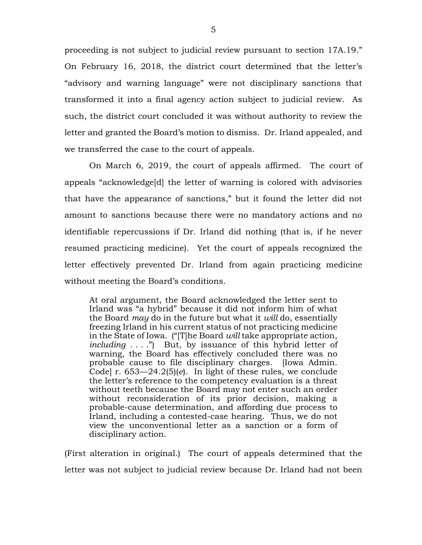proceeding is not subject to judicial review pursuant to section 17A.19." On February 16, 2018, the district court determined that the letter's "advisory and warning language" were not disciplinary sanctions that transformed it into a final agency action subject to judicial review. As such, the district court concluded it was without authority to review the letter and granted the Board's motion to dismiss. Dr. Irland appealed, and we transferred the case to the court of appeals.

On March 6, 2019, the court of appeals affirmed. The court of appeals "acknowledge[d] the letter of warning is colored with advisories that have the appearance of sanctions," but it found the letter did not amount to sanctions because there were no mandatory actions and no identifiable repercussions if Dr. Irland did nothing (that is, if he never resumed practicing medicine). Yet the court of appeals recognized the letter effectively prevented Dr. Irland from again practicing medicine without meeting the Board's conditions.

At oral argument, the Board acknowledged the letter sent to Irland was "a hybrid" because it did not inform him of what the Board *may* do in the future but what it *will* do, essentially freezing Irland in his current status of not practicing medicine in the State of Iowa. ("[T]he Board *will* take appropriate action, *including* . . . .") But, by issuance of this hybrid letter of warning, the Board has effectively concluded there was no probable cause to file disciplinary charges. [Iowa Admin. Code] r. 653—24.2(5)(*e*). In light of these rules, we conclude the letter's reference to the competency evaluation is a threat without teeth because the Board may not enter such an order without reconsideration of its prior decision, making a probable-cause determination, and affording due process to Irland, including a contested-case hearing. Thus, we do not view the unconventional letter as a sanction or a form of disciplinary action.

(First alteration in original.) The court of appeals determined that the letter was not subject to judicial review because Dr. Irland had not been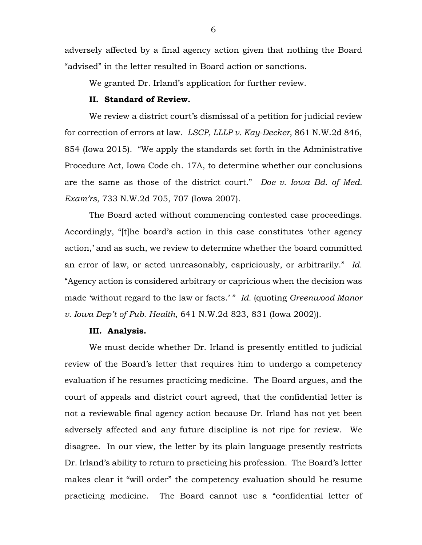adversely affected by a final agency action given that nothing the Board "advised" in the letter resulted in Board action or sanctions.

We granted Dr. Irland's application for further review.

## **II. Standard of Review.**

We review a district court's dismissal of a petition for judicial review for correction of errors at law. *LSCP, LLLP v. Kay-Decker*, 861 N.W.2d 846, 854 (Iowa 2015). "We apply the standards set forth in the Administrative Procedure Act, Iowa Code ch. 17A, to determine whether our conclusions are the same as those of the district court." *Doe v. Iowa Bd. of Med. Exam'rs*, 733 N.W.2d 705, 707 (Iowa 2007).

The Board acted without commencing contested case proceedings. Accordingly, "[t]he board's action in this case constitutes 'other agency action,' and as such, we review to determine whether the board committed an error of law, or acted unreasonably, capriciously, or arbitrarily." *Id.* "Agency action is considered arbitrary or capricious when the decision was made 'without regard to the law or facts.' " *Id.* (quoting *Greenwood Manor v. Iowa Dep't of Pub. Health*, 641 N.W.2d 823, 831 (Iowa 2002)).

## **III. Analysis.**

We must decide whether Dr. Irland is presently entitled to judicial review of the Board's letter that requires him to undergo a competency evaluation if he resumes practicing medicine. The Board argues, and the court of appeals and district court agreed, that the confidential letter is not a reviewable final agency action because Dr. Irland has not yet been adversely affected and any future discipline is not ripe for review. We disagree. In our view, the letter by its plain language presently restricts Dr. Irland's ability to return to practicing his profession. The Board's letter makes clear it "will order" the competency evaluation should he resume practicing medicine. The Board cannot use a "confidential letter of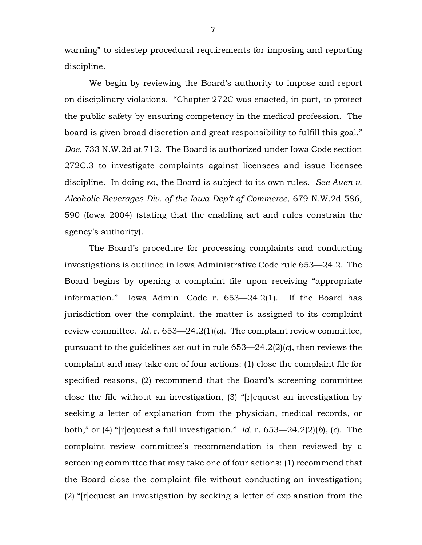warning" to sidestep procedural requirements for imposing and reporting discipline.

We begin by reviewing the Board's authority to impose and report on disciplinary violations. "Chapter 272C was enacted, in part, to protect the public safety by ensuring competency in the medical profession. The board is given broad discretion and great responsibility to fulfill this goal." *Doe*, 733 N.W.2d at 712. The Board is authorized under Iowa Code section 272C.3 to investigate complaints against licensees and issue licensee discipline. In doing so, the Board is subject to its own rules. *See Auen v. Alcoholic Beverages Div. of the Iowa Dep't of Commerce*, 679 N.W.2d 586, 590 (Iowa 2004) (stating that the enabling act and rules constrain the agency's authority).

The Board's procedure for processing complaints and conducting investigations is outlined in Iowa Administrative Code rule 653—24.2. The Board begins by opening a complaint file upon receiving "appropriate information." Iowa Admin. Code r. 653—24.2(1). If the Board has jurisdiction over the complaint, the matter is assigned to its complaint review committee. *Id.* r. 653—24.2(1)(*a*). The complaint review committee, pursuant to the guidelines set out in rule 653—24.2(2)(*c*), then reviews the complaint and may take one of four actions: (1) close the complaint file for specified reasons, (2) recommend that the Board's screening committee close the file without an investigation, (3) "[r]equest an investigation by seeking a letter of explanation from the physician, medical records, or both," or (4) "[r]equest a full investigation." *Id.* r. 653—24.2(2)(*b*), (*c*). The complaint review committee's recommendation is then reviewed by a screening committee that may take one of four actions: (1) recommend that the Board close the complaint file without conducting an investigation; (2) "[r]equest an investigation by seeking a letter of explanation from the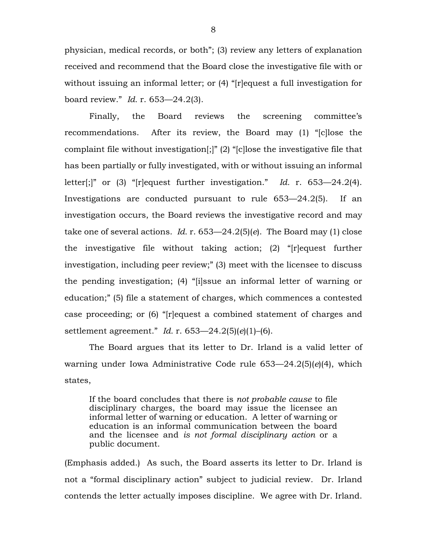physician, medical records, or both"; (3) review any letters of explanation received and recommend that the Board close the investigative file with or without issuing an informal letter; or (4) "[r] equest a full investigation for board review." *Id.* r. 653—24.2(3).

Finally, the Board reviews the screening committee's recommendations. After its review, the Board may (1) "[c]lose the complaint file without investigation[;]" (2) "[c]lose the investigative file that has been partially or fully investigated, with or without issuing an informal letter[;]" or (3) "[r]equest further investigation." *Id.* r. 653—24.2(4). Investigations are conducted pursuant to rule 653—24.2(5). If an investigation occurs, the Board reviews the investigative record and may take one of several actions. *Id.* r. 653—24.2(5)(*e*). The Board may (1) close the investigative file without taking action; (2) "[r]equest further investigation, including peer review;" (3) meet with the licensee to discuss the pending investigation; (4) "[i]ssue an informal letter of warning or education;" (5) file a statement of charges, which commences a contested case proceeding; or (6) "[r]equest a combined statement of charges and settlement agreement." *Id.* r. 653—24.2(5)(*e*)(1)–(6).

The Board argues that its letter to Dr. Irland is a valid letter of warning under Iowa Administrative Code rule 653—24.2(5)(*e*)(4), which states,

If the board concludes that there is *not probable cause* to file disciplinary charges, the board may issue the licensee an informal letter of warning or education. A letter of warning or education is an informal communication between the board and the licensee and *is not formal disciplinary action* or a public document.

(Emphasis added.) As such, the Board asserts its letter to Dr. Irland is not a "formal disciplinary action" subject to judicial review. Dr. Irland contends the letter actually imposes discipline. We agree with Dr. Irland.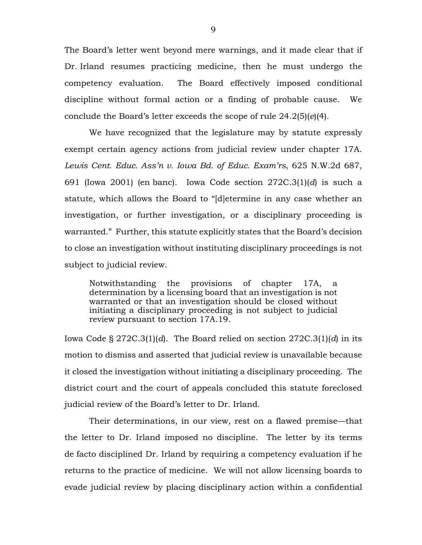The Board's letter went beyond mere warnings, and it made clear that if Dr. Irland resumes practicing medicine, then he must undergo the competency evaluation. The Board effectively imposed conditional discipline without formal action or a finding of probable cause. We conclude the Board's letter exceeds the scope of rule 24.2(5)(*e*)(4).

We have recognized that the legislature may by statute expressly exempt certain agency actions from judicial review under chapter 17A. *Lewis Cent. Educ. Ass'n v. Iowa Bd. of Educ. Exam'rs*, 625 N.W.2d 687, 691 (Iowa 2001) (en banc). Iowa Code section 272C.3(1)(*d*) is such a statute, which allows the Board to "[d]etermine in any case whether an investigation, or further investigation, or a disciplinary proceeding is warranted." Further, this statute explicitly states that the Board's decision to close an investigation without instituting disciplinary proceedings is not subject to judicial review.

Notwithstanding the provisions of chapter 17A, a determination by a licensing board that an investigation is not warranted or that an investigation should be closed without initiating a disciplinary proceeding is not subject to judicial review pursuant to section 17A.19.

Iowa Code § 272C.3(1)(*d*). The Board relied on section 272C.3(1)(*d*) in its motion to dismiss and asserted that judicial review is unavailable because it closed the investigation without initiating a disciplinary proceeding. The district court and the court of appeals concluded this statute foreclosed judicial review of the Board's letter to Dr. Irland.

Their determinations, in our view, rest on a flawed premise—that the letter to Dr. Irland imposed no discipline. The letter by its terms de facto disciplined Dr. Irland by requiring a competency evaluation if he returns to the practice of medicine. We will not allow licensing boards to evade judicial review by placing disciplinary action within a confidential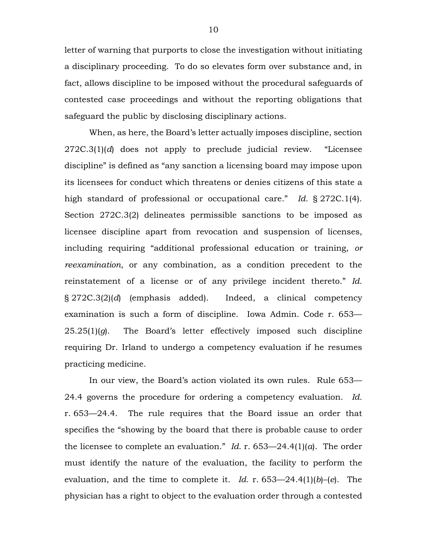letter of warning that purports to close the investigation without initiating a disciplinary proceeding. To do so elevates form over substance and, in fact, allows discipline to be imposed without the procedural safeguards of contested case proceedings and without the reporting obligations that safeguard the public by disclosing disciplinary actions.

When, as here, the Board's letter actually imposes discipline, section 272C.3(1)(*d*) does not apply to preclude judicial review. "Licensee discipline" is defined as "any sanction a licensing board may impose upon its licensees for conduct which threatens or denies citizens of this state a high standard of professional or occupational care." *Id.* § 272C.1(4). Section 272C.3(2) delineates permissible sanctions to be imposed as licensee discipline apart from revocation and suspension of licenses, including requiring "additional professional education or training, *or reexamination*, or any combination, as a condition precedent to the reinstatement of a license or of any privilege incident thereto." *Id.* § 272C.3(2)(*d*) (emphasis added). Indeed, a clinical competency examination is such a form of discipline. Iowa Admin. Code r. 653— 25.25(1)(*g*). The Board's letter effectively imposed such discipline requiring Dr. Irland to undergo a competency evaluation if he resumes practicing medicine.

In our view, the Board's action violated its own rules. Rule 653— 24.4 governs the procedure for ordering a competency evaluation. *Id.* r. 653—24.4. The rule requires that the Board issue an order that specifies the "showing by the board that there is probable cause to order the licensee to complete an evaluation." *Id.* r. 653—24.4(1)(*a*). The order must identify the nature of the evaluation, the facility to perform the evaluation, and the time to complete it. *Id.* r. 653—24.4(1)(*b*)–(*e*). The physician has a right to object to the evaluation order through a contested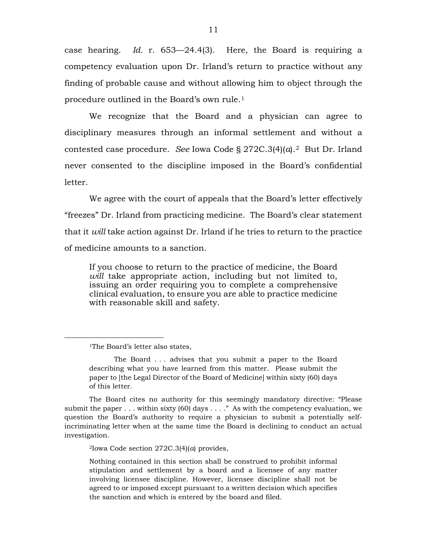case hearing. *Id.* r. 653—24.4(3). Here, the Board is requiring a competency evaluation upon Dr. Irland's return to practice without any finding of probable cause and without allowing him to object through the procedure outlined in the Board's own rule.[1](#page-10-0)

We recognize that the Board and a physician can agree to disciplinary measures through an informal settlement and without a contested case procedure. *See* Iowa Code § 272C.3(4)(*a*).[2](#page-10-1) But Dr. Irland never consented to the discipline imposed in the Board's confidential letter.

We agree with the court of appeals that the Board's letter effectively "freezes" Dr. Irland from practicing medicine. The Board's clear statement that it *will* take action against Dr. Irland if he tries to return to the practice of medicine amounts to a sanction.

If you choose to return to the practice of medicine, the Board *will* take appropriate action, including but not limited to, issuing an order requiring you to complete a comprehensive clinical evaluation, to ensure you are able to practice medicine with reasonable skill and safety.

<span id="page-10-1"></span><span id="page-10-0"></span>The Board cites no authority for this seemingly mandatory directive: "Please submit the paper  $\dots$  within sixty (60) days  $\dots$  . . . " As with the competency evaluation, we question the Board's authority to require a physician to submit a potentially selfincriminating letter when at the same time the Board is declining to conduct an actual investigation.

2Iowa Code section 272C.3(4)(*a*) provides,

Nothing contained in this section shall be construed to prohibit informal stipulation and settlement by a board and a licensee of any matter involving licensee discipline. However, licensee discipline shall not be agreed to or imposed except pursuant to a written decision which specifies the sanction and which is entered by the board and filed.

<sup>&</sup>lt;sup>1</sup>The Board's letter also states,

The Board . . . advises that you submit a paper to the Board describing what you have learned from this matter. Please submit the paper to [the Legal Director of the Board of Medicine] within sixty (60) days of this letter.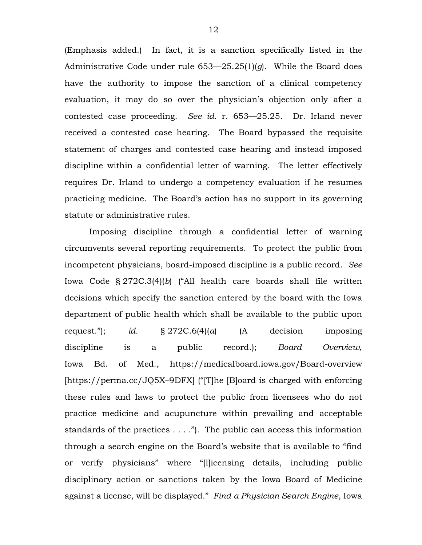(Emphasis added.) In fact, it is a sanction specifically listed in the Administrative Code under rule 653—25.25(1)(*g*). While the Board does have the authority to impose the sanction of a clinical competency evaluation, it may do so over the physician's objection only after a contested case proceeding. *See id.* r. 653––25.25. Dr. Irland never received a contested case hearing. The Board bypassed the requisite statement of charges and contested case hearing and instead imposed discipline within a confidential letter of warning. The letter effectively requires Dr. Irland to undergo a competency evaluation if he resumes practicing medicine. The Board's action has no support in its governing statute or administrative rules.

Imposing discipline through a confidential letter of warning circumvents several reporting requirements. To protect the public from incompetent physicians, board-imposed discipline is a public record. *See* Iowa Code § 272C.3(4)(*b*) ("All health care boards shall file written decisions which specify the sanction entered by the board with the Iowa department of public health which shall be available to the public upon request."); *id.* § 272C.6(4)(*a*) (A decision imposing discipline is a public record.); *Board Overview*, Iowa Bd. of Med., https://medicalboard.iowa.gov/Board-overview [https://perma.cc/JQ5X–9DFX] ("[T]he [B]oard is charged with enforcing these rules and laws to protect the public from licensees who do not practice medicine and acupuncture within prevailing and acceptable standards of the practices  $\dots$ ."). The public can access this information through a search engine on the Board's website that is available to "find or verify physicians" where "[l]icensing details, including public disciplinary action or sanctions taken by the Iowa Board of Medicine against a license, will be displayed." *Find a Physician Search Engine*, Iowa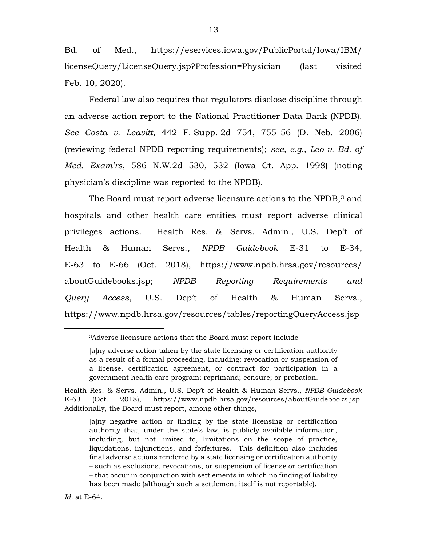Bd. of Med., https://eservices.iowa.gov/PublicPortal/Iowa/IBM/ licenseQuery/LicenseQuery.jsp?Profession=Physician (last visited Feb. 10, 2020).

Federal law also requires that regulators disclose discipline through an adverse action report to the National Practitioner Data Bank (NPDB). *See Costa v. Leavitt*, 442 F. Supp. 2d 754, 755–56 (D. Neb. 2006) (reviewing federal NPDB reporting requirements); *see, e.g., Leo v. Bd. of Med. Exam'rs*, 586 N.W.2d 530, 532 (Iowa Ct. App. 1998) (noting physician's discipline was reported to the NPDB).

The Board must report adverse licensure actions to the NPDB,<sup>[3](#page-12-0)</sup> and hospitals and other health care entities must report adverse clinical privileges actions. Health Res. & Servs. Admin., U.S. Dep't of Health & Human Servs., *NPDB Guidebook* E-31 to E-34, E-63 to E-66 (Oct. 2018), https://www.npdb.hrsa.gov/resources/ aboutGuidebooks.jsp; *NPDB Reporting Requirements and Query Access*, U.S. Dep't of Health & Human Servs., https://www.npdb.hrsa.gov/resources/tables/reportingQueryAccess.jsp

3Adverse licensure actions that the Board must report include

[a]ny adverse action taken by the state licensing or certification authority as a result of a formal proceeding, including: revocation or suspension of a license, certification agreement, or contract for participation in a government health care program; reprimand; censure; or probation.

<span id="page-12-0"></span>Health Res. & Servs. Admin., U.S. Dep't of Health & Human Servs., *NPDB Guidebook* E-63 (Oct. 2018), https://www.npdb.hrsa.gov/resources/aboutGuidebooks.jsp. Additionally, the Board must report, among other things,

[a]ny negative action or finding by the state licensing or certification authority that, under the state's law, is publicly available information, including, but not limited to, limitations on the scope of practice, liquidations, injunctions, and forfeitures. This definition also includes final adverse actions rendered by a state licensing or certification authority – such as exclusions, revocations, or suspension of license or certification – that occur in conjunction with settlements in which no finding of liability has been made (although such a settlement itself is not reportable).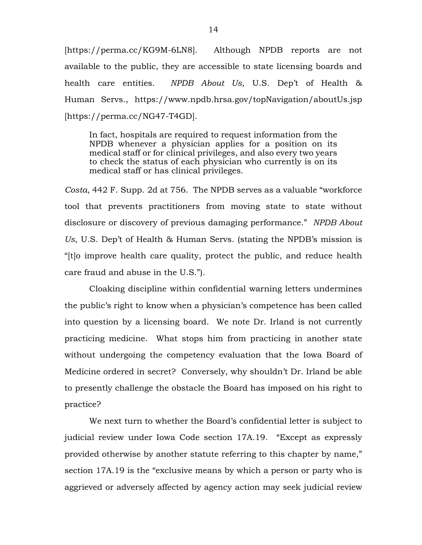[https://perma.cc/KG9M-6LN8]. Although NPDB reports are not available to the public, they are accessible to state licensing boards and health care entities. *NPDB About Us*, U.S. Dep't of Health & Human Servs., https://www.npdb.hrsa.gov/topNavigation/aboutUs.jsp [https://perma.cc/NG47-T4GD].

In fact, hospitals are required to request information from the NPDB whenever a physician applies for a position on its medical staff or for clinical privileges, and also every two years to check the status of each physician who currently is on its medical staff or has clinical privileges.

*Costa*, 442 F. Supp. 2d at 756. The NPDB serves as a valuable "workforce tool that prevents practitioners from moving state to state without disclosure or discovery of previous damaging performance." *NPDB About Us*, U.S. Dep't of Health & Human Servs. (stating the NPDB's mission is "[t]o improve health care quality, protect the public, and reduce health care fraud and abuse in the U.S.").

Cloaking discipline within confidential warning letters undermines the public's right to know when a physician's competence has been called into question by a licensing board. We note Dr. Irland is not currently practicing medicine. What stops him from practicing in another state without undergoing the competency evaluation that the Iowa Board of Medicine ordered in secret? Conversely, why shouldn't Dr. Irland be able to presently challenge the obstacle the Board has imposed on his right to practice?

We next turn to whether the Board's confidential letter is subject to judicial review under Iowa Code section 17A.19. "Except as expressly provided otherwise by another statute referring to this chapter by name," section 17A.19 is the "exclusive means by which a person or party who is aggrieved or adversely affected by agency action may seek judicial review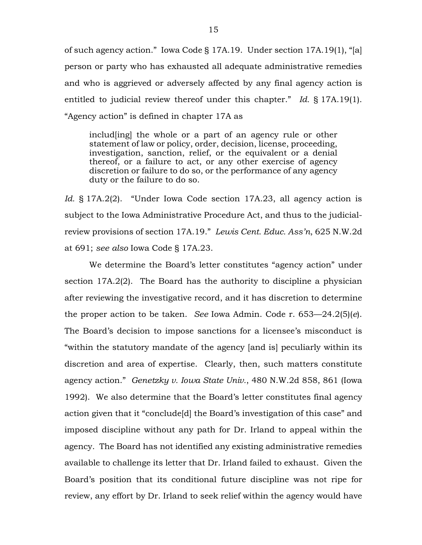of such agency action." Iowa Code § 17A.19. Under section 17A.19(1), "[a] person or party who has exhausted all adequate administrative remedies and who is aggrieved or adversely affected by any final agency action is entitled to judicial review thereof under this chapter." *Id.* § 17A.19(1). "Agency action" is defined in chapter 17A as

includ[ing] the whole or a part of an agency rule or other statement of law or policy, order, decision, license, proceeding, investigation, sanction, relief, or the equivalent or a denial thereof, or a failure to act, or any other exercise of agency discretion or failure to do so, or the performance of any agency duty or the failure to do so.

*Id.* § 17A.2(2). "Under Iowa Code section 17A.23, all agency action is subject to the Iowa Administrative Procedure Act, and thus to the judicialreview provisions of section 17A.19." *Lewis Cent. Educ. Ass'n*, 625 N.W.2d at 691; *see also* Iowa Code § 17A.23.

We determine the Board's letter constitutes "agency action" under section 17A.2(2). The Board has the authority to discipline a physician after reviewing the investigative record, and it has discretion to determine the proper action to be taken. *See* Iowa Admin. Code r. 653—24.2(5)(*e*). The Board's decision to impose sanctions for a licensee's misconduct is "within the statutory mandate of the agency [and is] peculiarly within its discretion and area of expertise. Clearly, then, such matters constitute agency action." *Genetzky v. Iowa State Univ.*, 480 N.W.2d 858, 861 (Iowa 1992). We also determine that the Board's letter constitutes final agency action given that it "conclude[d] the Board's investigation of this case" and imposed discipline without any path for Dr. Irland to appeal within the agency. The Board has not identified any existing administrative remedies available to challenge its letter that Dr. Irland failed to exhaust. Given the Board's position that its conditional future discipline was not ripe for review, any effort by Dr. Irland to seek relief within the agency would have